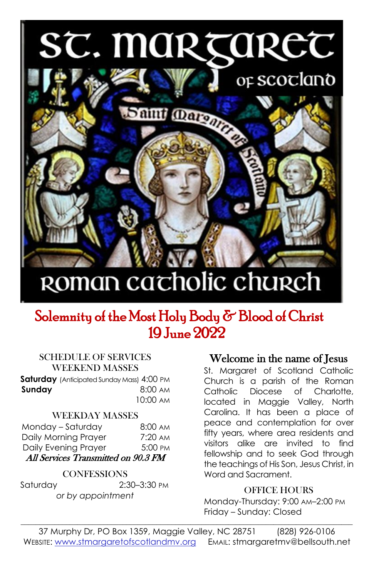# ST. MARTARET



## ROMAN cacholic church

### Solemnity of the Most Holy Body & Blood of Christ 19 June 2022

#### SCHEDULE OF SERVICES WEEKEND MASSES

**Saturday** (Anticipated Sunday Mass) 4:00 PM **Sunday 8:00 AM** 10:00 AM

#### WEEKDAY MASSES

| Monday - Saturday                   | $8:00 \text{ AM}$ |
|-------------------------------------|-------------------|
| Daily Morning Prayer                | $7:20 \text{ AM}$ |
| Daily Evening Prayer                | 5:00 PM           |
| All Services Transmitted on 90.3 FM |                   |

#### **CONFESSIONS**

Saturday 2:30–3:30 PM *or by appointment*

#### Welcome in the name of Jesus

St. Margaret of Scotland Catholic Church is a parish of the Roman Catholic Diocese of Charlotte, located in Maggie Valley, North Carolina. It has been a place of peace and contemplation for over fifty years, where area residents and visitors alike are invited to find fellowship and to seek God through the teachings of His Son, Jesus Christ, in Word and Sacrament.

#### OFFICE HOURS

Monday-Thursday: 9:00 AM–2:00 PM Friday – Sunday: Closed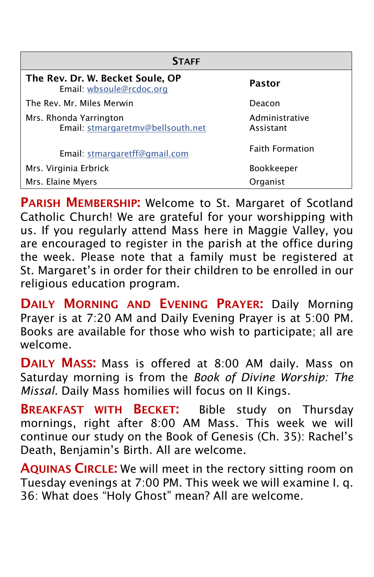| <b>STAFF</b>                                                 |                             |  |  |  |  |
|--------------------------------------------------------------|-----------------------------|--|--|--|--|
| The Rev. Dr. W. Becket Soule, OP<br>Email: wbsoule@rcdoc.org | Pastor                      |  |  |  |  |
| The Rev. Mr. Miles Merwin                                    | Deacon                      |  |  |  |  |
| Mrs. Rhonda Yarrington<br>Email: stmargaretmv@bellsouth.net  | Administrative<br>Assistant |  |  |  |  |
| Email: stmargaretff@gmail.com                                | <b>Faith Formation</b>      |  |  |  |  |
| Mrs. Virginia Erbrick                                        | <b>Bookkeeper</b>           |  |  |  |  |
| Mrs. Elaine Myers                                            | Organist                    |  |  |  |  |

PARISH MEMBERSHIP: Welcome to St. Margaret of Scotland Catholic Church! We are grateful for your worshipping with us. If you regularly attend Mass here in Maggie Valley, you are encouraged to register in the parish at the office during the week. Please note that a family must be registered at St. Margaret's in order for their children to be enrolled in our religious education program.

DAILY MORNING AND EVENING PRAYER: Daily Morning Prayer is at 7:20 AM and Daily Evening Prayer is at 5:00 PM. Books are available for those who wish to participate; all are welcome.

DAILY MASS: Mass is offered at 8:00 AM daily. Mass on Saturday morning is from the *Book of Divine Worship: The Missal.* Daily Mass homilies will focus on II Kings.

**BREAKFAST WITH BECKET:** Bible study on Thursday mornings, right after 8:00 AM Mass. This week we will continue our study on the Book of Genesis (Ch. 35): Rachel's Death, Benjamin's Birth. All are welcome.

AQUINAS CIRCLE: We will meet in the rectory sitting room on Tuesday evenings at 7:00 PM. This week we will examine I. q. 36: What does "Holy Ghost" mean? All are welcome.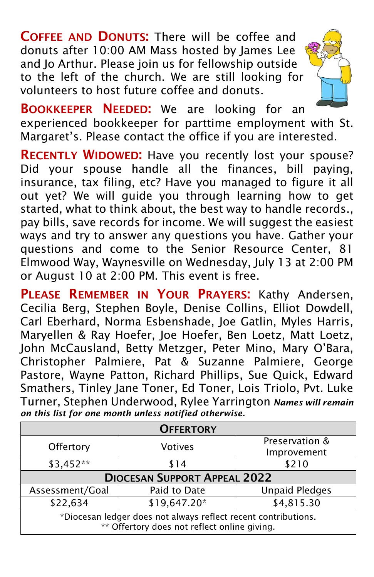COFFEE AND DONUTS: There will be coffee and donuts after 10:00 AM Mass hosted by James Lee and Jo Arthur. Please join us for fellowship outside to the left of the church. We are still looking for volunteers to host future coffee and donuts.



BOOKKEEPER NEEDED: We are looking for an experienced bookkeeper for parttime employment with St. Margaret's. Please contact the office if you are interested.

RECENTLY WIDOWED: Have you recently lost your spouse? Did your spouse handle all the finances, bill paying, insurance, tax filing, etc? Have you managed to figure it all out yet? We will guide you through learning how to get started, what to think about, the best way to handle records., pay bills, save records for income. We will suggest the easiest ways and try to answer any questions you have. Gather your questions and come to the Senior Resource Center, 81 Elmwood Way, Waynesville on Wednesday, July 13 at 2:00 PM or August 10 at 2:00 PM. This event is free.

PLEASE REMEMBER IN YOUR PRAYERS: Kathy Andersen, Cecilia Berg, Stephen Boyle, Denise Collins, Elliot Dowdell, Carl Eberhard, Norma Esbenshade, Joe Gatlin, Myles Harris, Maryellen & Ray Hoefer, Joe Hoefer, Ben Loetz, Matt Loetz, John McCausland, Betty Metzger, Peter Mino, Mary O'Bara, Christopher Palmiere, Pat & Suzanne Palmiere, George Pastore, Wayne Patton, Richard Phillips, Sue Quick, Edward Smathers, Tinley Jane Toner, Ed Toner, Lois Triolo, Pvt. Luke Turner, Stephen Underwood, Rylee Yarrington *Names will remain on this list for one month unless notified otherwise.*

| <b>OFFERTORY</b>                                                                                               |              |                       |  |  |  |  |
|----------------------------------------------------------------------------------------------------------------|--------------|-----------------------|--|--|--|--|
| Offertory                                                                                                      | Votives      | Preservation &        |  |  |  |  |
|                                                                                                                |              | Improvement           |  |  |  |  |
| \$3,452**                                                                                                      | \$14         | \$210                 |  |  |  |  |
| <b>DIOCESAN SUPPORT APPEAL 2022</b>                                                                            |              |                       |  |  |  |  |
| Assessment/Goal                                                                                                | Paid to Date | <b>Unpaid Pledges</b> |  |  |  |  |
| \$22,634                                                                                                       | \$19,647.20* | \$4,815.30            |  |  |  |  |
| *Diocesan ledger does not always reflect recent contributions.<br>** Offertory does not reflect online giving. |              |                       |  |  |  |  |